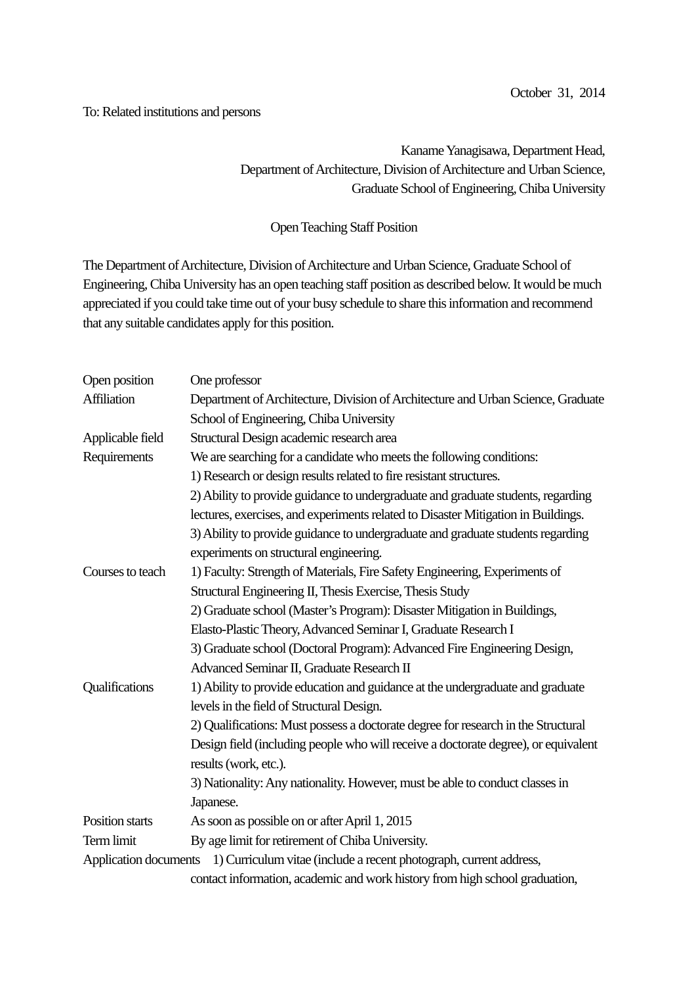## To: Related institutions and persons

## Kaname Yanagisawa, Department Head, Department of Architecture, Division of Architecture and Urban Science, Graduate School of Engineering, Chiba University

## Open Teaching Staff Position

The Department of Architecture, Division of Architecture and Urban Science, Graduate School of Engineering, Chiba University has an open teaching staff position as described below. It would be much appreciated if you could take time out of your busy schedule to share this information and recommend that any suitable candidates apply for this position.

| Open position         | One professor                                                                      |
|-----------------------|------------------------------------------------------------------------------------|
| Affiliation           | Department of Architecture, Division of Architecture and Urban Science, Graduate   |
|                       | School of Engineering, Chiba University                                            |
| Applicable field      | Structural Design academic research area                                           |
| Requirements          | We are searching for a candidate who meets the following conditions:               |
|                       | 1) Research or design results related to fire resistant structures.                |
|                       | 2) Ability to provide guidance to undergraduate and graduate students, regarding   |
|                       | lectures, exercises, and experiments related to Disaster Mitigation in Buildings.  |
|                       | 3) Ability to provide guidance to undergraduate and graduate students regarding    |
|                       | experiments on structural engineering.                                             |
| Courses to teach      | 1) Faculty: Strength of Materials, Fire Safety Engineering, Experiments of         |
|                       | Structural Engineering II, Thesis Exercise, Thesis Study                           |
|                       | 2) Graduate school (Master's Program): Disaster Mitigation in Buildings,           |
|                       | Elasto-Plastic Theory, Advanced Seminar I, Graduate Research I                     |
|                       | 3) Graduate school (Doctoral Program): Advanced Fire Engineering Design,           |
|                       | Advanced Seminar II, Graduate Research II                                          |
| Qualifications        | 1) Ability to provide education and guidance at the undergraduate and graduate     |
|                       | levels in the field of Structural Design.                                          |
|                       | 2) Qualifications: Must possess a doctorate degree for research in the Structural  |
|                       | Design field (including people who will receive a doctorate degree), or equivalent |
|                       | results (work, etc.).                                                              |
|                       | 3) Nationality: Any nationality. However, must be able to conduct classes in       |
|                       | Japanese.                                                                          |
| Position starts       | As soon as possible on or after April 1, 2015                                      |
| Term limit            | By age limit for retirement of Chiba University.                                   |
| Application documents | 1) Curriculum vitae (include a recent photograph, current address,                 |
|                       | contact information, academic and work history from high school graduation,        |